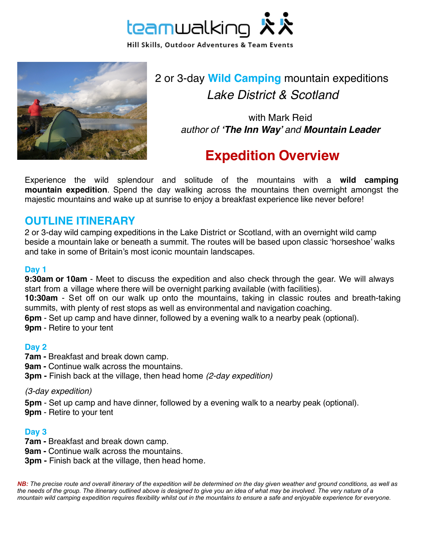



2 or 3-day **Wild Camping** mountain expeditions *Lake District & Scotland*

> with Mark Reid *author of 'The Inn Way' and Mountain Leader*

# **Expedition Overview**

Experience the wild splendour and solitude of the mountains with a **wild camping mountain expedition**. Spend the day walking across the mountains then overnight amongst the majestic mountains and wake up at sunrise to enjoy a breakfast experience like never before!

# **OUTLINE ITINERARY**

2 or 3-day wild camping expeditions in the Lake District or Scotland, with an overnight wild camp beside a mountain lake or beneath a summit. The routes will be based upon classic 'horseshoe' walks and take in some of Britain's most iconic mountain landscapes.

## **Day 1**

**9:30am or 10am** - Meet to discuss the expedition and also check through the gear. We will always start from a village where there will be overnight parking available (with facilities).

**10:30am** - Set off on our walk up onto the mountains, taking in classic routes and breath-taking summits, with plenty of rest stops as well as environmental and navigation coaching.

**6pm** - Set up camp and have dinner, followed by a evening walk to a nearby peak (optional).

**9pm** - Retire to your tent

#### **Day 2**

- **7am -** Breakfast and break down camp.
- **9am -** Continue walk across the mountains.
- **3pm** Finish back at the village, then head home *(2-day expedition)*

#### *(3-day expedition)*

**5pm** - Set up camp and have dinner, followed by a evening walk to a nearby peak (optional).

**9pm** - Retire to your tent

#### **Day 3**

- **7am -** Breakfast and break down camp.
- **9am -** Continue walk across the mountains.
- **3pm** Finish back at the village, then head home*.*

*NB: The precise route and overall itinerary of the expedition will be determined on the day given weather and ground conditions, as well as the needs of the group. The itinerary outlined above is designed to give you an idea of what may be involved. The very nature of a mountain wild camping expedition requires flexibility whilst out in the mountains to ensure a safe and enjoyable experience for everyone.*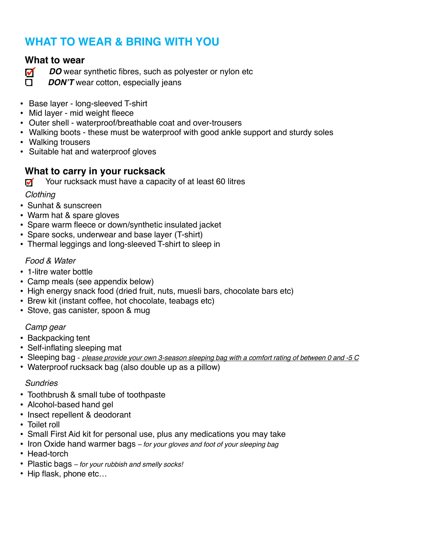# **WHAT TO WEAR & BRING WITH YOU**

# **What to wear**

- *DO* wear synthetic fibres, such as polyester or nylon etc
- **DON'T** wear cotton, especially jeans
- Base layer long-sleeved T-shirt
- Mid layer mid weight fleece
- Outer shell waterproof/breathable coat and over-trousers
- Walking boots these must be waterproof with good ankle support and sturdy soles
- Walking trousers
- Suitable hat and waterproof gloves

# **What to carry in your rucksack**

Your rucksack must have a capacity of at least 60 litres

# *Clothing*

- Sunhat & sunscreen
- Warm hat & spare gloves
- Spare warm fleece or down/synthetic insulated jacket
- Spare socks, underwear and base layer (T-shirt)
- Thermal leggings and long-sleeved T-shirt to sleep in

# *Food & Water*

- 1-litre water bottle
- Camp meals (see appendix below)
- High energy snack food (dried fruit, nuts, muesli bars, chocolate bars etc)
- Brew kit (instant coffee, hot chocolate, teabags etc)
- Stove, gas canister, spoon & mug

# *Camp gear*

- Backpacking tent
- Self-inflating sleeping mat
- Sleeping bag *please provide your own 3-season sleeping bag with a comfort rating of between 0 and -5 <sup>C</sup>*
- Waterproof rucksack bag (also double up as a pillow)

# *Sundries*

- Toothbrush & small tube of toothpaste
- Alcohol-based hand gel
- Insect repellent & deodorant
- Toilet roll
- Small First Aid kit for personal use, plus any medications you may take
- Iron Oxide hand warmer bags *– for your gloves and foot of your sleeping bag*
- Head-torch
- Plastic bags *– for your rubbish and smelly socks!*
- Hip flask, phone etc…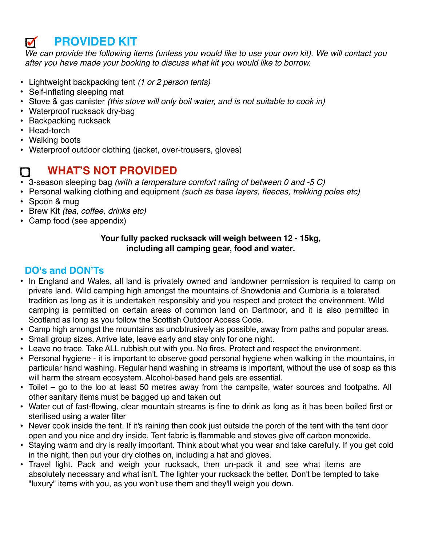# **PROVIDED KIT**

*We can provide the following items (unless you would like to use your own kit). We will contact you after you have made your booking to discuss what kit you would like to borrow.*

- Lightweight backpacking tent *(1 or 2 person tents)*
- Self-inflating sleeping mat
- Stove & gas canister *(this stove will only boil water, and is not suitable to cook in)*
- Waterproof rucksack dry-bag
- Backpacking rucksack
- Head-torch
- Walking boots
- Waterproof outdoor clothing (jacket, over-trousers, gloves)

# **WHAT'S NOT PROVIDED**

- 3-season sleeping bag *(with a temperature comfort rating of between 0 and -5 C)*
- Personal walking clothing and equipment *(such as base layers, fleeces, trekking poles etc)*
- Spoon & mug
- Brew Kit *(tea, coffee, drinks etc)*
- Camp food (see appendix)

## **Your fully packed rucksack will weigh between 12 - 15kg, including all camping gear, food and water***.*

# **DO's and DON'Ts**

- In England and Wales, all land is privately owned and landowner permission is required to camp on private land. Wild camping high amongst the mountains of Snowdonia and Cumbria is a tolerated tradition as long as it is undertaken responsibly and you respect and protect the environment. Wild camping is permitted on certain areas of common land on Dartmoor, and it is also permitted in Scotland as long as you follow the Scottish Outdoor Access Code.
- Camp high amongst the mountains as unobtrusively as possible, away from paths and popular areas.
- Small group sizes. Arrive late, leave early and stay only for one night.
- Leave no trace. Take ALL rubbish out with you. No fires. Protect and respect the environment.
- Personal hygiene it is important to observe good personal hygiene when walking in the mountains, in particular hand washing. Regular hand washing in streams is important, without the use of soap as this will harm the stream ecosystem. Alcohol-based hand gels are essential.
- Toilet go to the loo at least 50 metres away from the campsite, water sources and footpaths. All other sanitary items must be bagged up and taken out
- Water out of fast-flowing, clear mountain streams is fine to drink as long as it has been boiled first or sterilised using a water filter
- Never cook inside the tent. If it's raining then cook just outside the porch of the tent with the tent door open and you nice and dry inside. Tent fabric is flammable and stoves give off carbon monoxide.
- Staying warm and dry is really important. Think about what you wear and take carefully. If you get cold in the night, then put your dry clothes on, including a hat and gloves.
- Travel light. Pack and weigh your rucksack, then un-pack it and see what items are absolutely necessary and what isn't. The lighter your rucksack the better. Don't be tempted to take "luxury" items with you, as you won't use them and they'll weigh you down.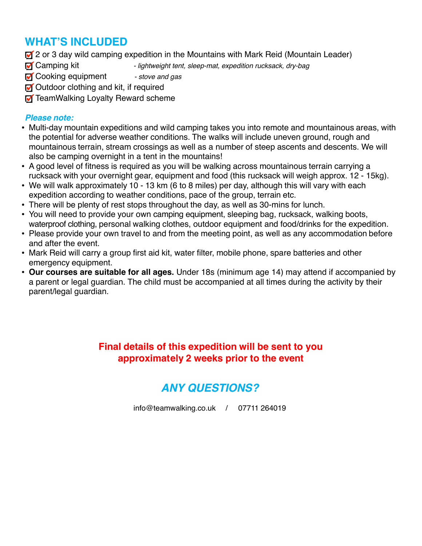# **WHAT'S INCLUDED**

2 or 3 day wild camping expedition in the Mountains with Mark Reid (Mountain Leader)

- **T** Camping kit lightweight tent, sleep-mat, expedition rucksack, dry-bag
- **T** Cooking equipment stove and gas
- **M** Outdoor clothing and kit, if required
- **T** TeamWalking Loyalty Reward scheme

## *Please note:*

- Multi-day mountain expeditions and wild camping takes you into remote and mountainous areas, with the potential for adverse weather conditions. The walks will include uneven ground, rough and mountainous terrain, stream crossings as well as a number of steep ascents and descents. We will also be camping overnight in a tent in the mountains!
- A good level of fitness is required as you will be walking across mountainous terrain carrying a rucksack with your overnight gear, equipment and food (this rucksack will weigh approx. 12 - 15kg).
- We will walk approximately 10 13 km (6 to 8 miles) per day, although this will vary with each expedition according to weather conditions, pace of the group, terrain etc.
- There will be plenty of rest stops throughout the day, as well as 30-mins for lunch.
- You will need to provide your own camping equipment, sleeping bag, rucksack, walking boots, waterproof clothing, personal walking clothes, outdoor equipment and food/drinks for the expedition.
- Please provide your own travel to and from the meeting point, as well as any accommodation before and after the event.
- Mark Reid will carry a group first aid kit, water filter, mobile phone, spare batteries and other emergency equipment.
- **Our courses are suitable for all ages.** Under 18s (minimum age 14) may attend if accompanied by a parent or legal guardian. The child must be accompanied at all times during the activity by their parent/legal guardian.

# **Final details of this expedition will be sent to you approximately 2 weeks prior to the event**

# *ANY QUESTIONS?*

[info@teamwalking.co.u](mailto:info@teamwalking.co.uk)k / 07711 264019